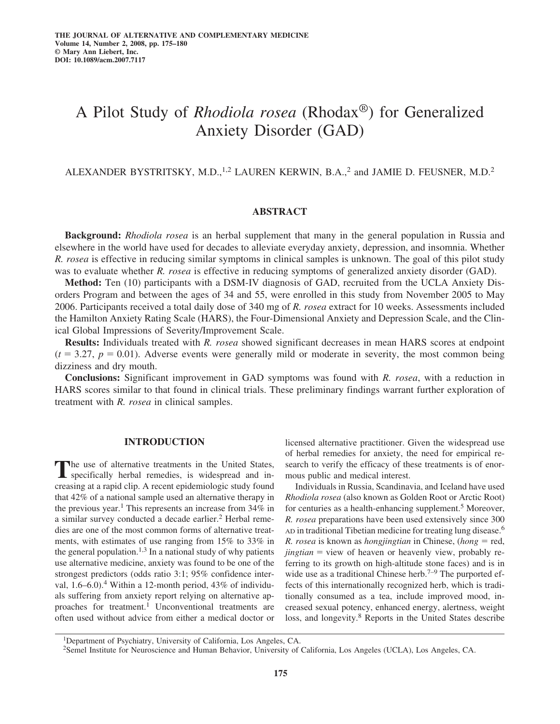# A Pilot Study of *Rhodiola rosea* (Rhodax®) for Generalized Anxiety Disorder (GAD)

ALEXANDER BYSTRITSKY, M.D.,<sup>1,2</sup> LAUREN KERWIN, B.A.,<sup>2</sup> and JAMIE D. FEUSNER, M.D.<sup>2</sup>

# **ABSTRACT**

**Background:** *Rhodiola rosea* is an herbal supplement that many in the general population in Russia and elsewhere in the world have used for decades to alleviate everyday anxiety, depression, and insomnia. Whether *R. rosea* is effective in reducing similar symptoms in clinical samples is unknown. The goal of this pilot study was to evaluate whether *R. rosea* is effective in reducing symptoms of generalized anxiety disorder (GAD).

**Method:** Ten (10) participants with a DSM-IV diagnosis of GAD, recruited from the UCLA Anxiety Disorders Program and between the ages of 34 and 55, were enrolled in this study from November 2005 to May 2006. Participants received a total daily dose of 340 mg of *R. rosea* extract for 10 weeks. Assessments included the Hamilton Anxiety Rating Scale (HARS), the Four-Dimensional Anxiety and Depression Scale, and the Clinical Global Impressions of Severity/Improvement Scale.

**Results:** Individuals treated with *R. rosea* showed significant decreases in mean HARS scores at endpoint  $(t = 3.27, p = 0.01)$ . Adverse events were generally mild or moderate in severity, the most common being dizziness and dry mouth.

**Conclusions:** Significant improvement in GAD symptoms was found with *R. rosea*, with a reduction in HARS scores similar to that found in clinical trials. These preliminary findings warrant further exploration of treatment with *R. rosea* in clinical samples.

#### **INTRODUCTION**

The use of alternative treatments in the United States, specifically herbal remedies, is widespread and increasing at a rapid clip. A recent epidemiologic study found that 42% of a national sample used an alternative therapy in the previous year.<sup>1</sup> This represents an increase from 34% in a similar survey conducted a decade earlier.2 Herbal remedies are one of the most common forms of alternative treatments, with estimates of use ranging from 15% to 33% in the general population.<sup>1,3</sup> In a national study of why patients use alternative medicine, anxiety was found to be one of the strongest predictors (odds ratio 3:1; 95% confidence interval,  $1.6-6.0$ .<sup>4</sup> Within a 12-month period,  $43\%$  of individuals suffering from anxiety report relying on alternative approaches for treatment.<sup>1</sup> Unconventional treatments are often used without advice from either a medical doctor or licensed alternative practitioner. Given the widespread use of herbal remedies for anxiety, the need for empirical research to verify the efficacy of these treatments is of enormous public and medical interest.

Individuals in Russia, Scandinavia, and Iceland have used *Rhodiola rosea* (also known as Golden Root or Arctic Root) for centuries as a health-enhancing supplement.<sup>5</sup> Moreover, *R. rosea* preparations have been used extensively since 300 AD in traditional Tibetian medicine for treating lung disease.<sup>6</sup> *R. rosea* is known as *hongjingtian* in Chinese, (*hong* = red, jingtian = view of heaven or heavenly view, probably referring to its growth on high-altitude stone faces) and is in wide use as a traditional Chinese herb.<sup>7–9</sup> The purported effects of this internationally recognized herb, which is traditionally consumed as a tea, include improved mood, increased sexual potency, enhanced energy, alertness, weight loss, and longevity.<sup>8</sup> Reports in the United States describe

<sup>1</sup>Department of Psychiatry, University of California, Los Angeles, CA.

<sup>2</sup>Semel Institute for Neuroscience and Human Behavior, University of California, Los Angeles (UCLA), Los Angeles, CA.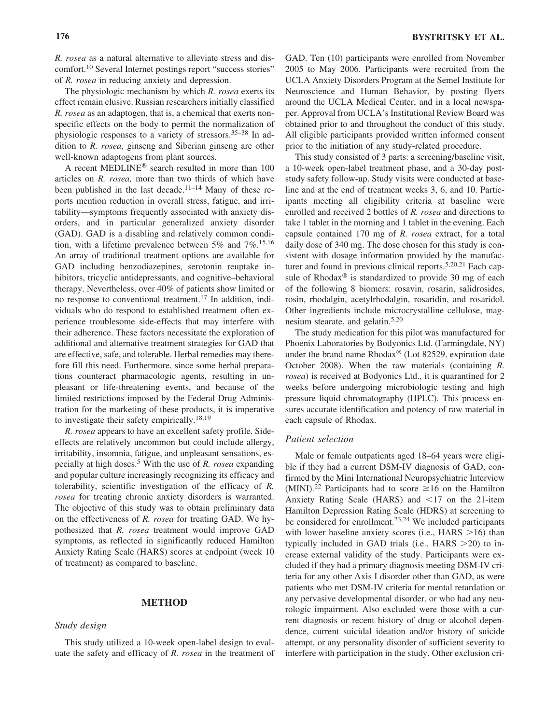*R. rosea* as a natural alternative to alleviate stress and discomfort.10 Several Internet postings report "success stories" of *R. rosea* in reducing anxiety and depression.

The physiologic mechanism by which *R. rosea* exerts its effect remain elusive. Russian researchers initially classified *R. rosea* as an adaptogen, that is, a chemical that exerts nonspecific effects on the body to permit the normalization of physiologic responses to a variety of stressors.<sup>35–38</sup> In addition to *R. rosea*, ginseng and Siberian ginseng are other well-known adaptogens from plant sources.

A recent MEDLINE® search resulted in more than 100 articles on *R. rosea,* more than two thirds of which have been published in the last decade. $11-14$  Many of these reports mention reduction in overall stress, fatigue, and irritability—symptoms frequently associated with anxiety disorders, and in particular generalized anxiety disorder (GAD). GAD is a disabling and relatively common condition, with a lifetime prevalence between  $5\%$  and  $7\%$ .<sup>15,16</sup> An array of traditional treatment options are available for GAD including benzodiazepines, serotonin reuptake inhibitors, tricyclic antidepressants, and cognitive–behavioral therapy. Nevertheless, over 40% of patients show limited or no response to conventional treatment.<sup>17</sup> In addition, individuals who do respond to established treatment often experience troublesome side-effects that may interfere with their adherence. These factors necessitate the exploration of additional and alternative treatment strategies for GAD that are effective, safe, and tolerable. Herbal remedies may therefore fill this need. Furthermore, since some herbal preparations counteract pharmacologic agents, resulting in unpleasant or life-threatening events, and because of the limited restrictions imposed by the Federal Drug Administration for the marketing of these products, it is imperative to investigate their safety empirically.18,19

*R. rosea* appears to have an excellent safety profile. Sideeffects are relatively uncommon but could include allergy, irritability, insomnia, fatigue, and unpleasant sensations, especially at high doses.<sup>5</sup> With the use of *R. rosea* expanding and popular culture increasingly recognizing its efficacy and tolerability, scientific investigation of the efficacy of *R. rosea* for treating chronic anxiety disorders is warranted. The objective of this study was to obtain preliminary data on the effectiveness of *R. rosea* for treating GAD. We hypothesized that *R. rosea* treatment would improve GAD symptoms, as reflected in significantly reduced Hamilton Anxiety Rating Scale (HARS) scores at endpoint (week 10 of treatment) as compared to baseline.

#### **METHOD**

### *Study design*

This study utilized a 10-week open-label design to evaluate the safety and efficacy of *R. rosea* in the treatment of GAD. Ten (10) participants were enrolled from November 2005 to May 2006. Participants were recruited from the UCLA Anxiety Disorders Program at the Semel Institute for Neuroscience and Human Behavior, by posting flyers around the UCLA Medical Center, and in a local newspaper. Approval from UCLA's Institutional Review Board was obtained prior to and throughout the conduct of this study. All eligible participants provided written informed consent prior to the initiation of any study-related procedure.

This study consisted of 3 parts: a screening/baseline visit, a 10-week open-label treatment phase, and a 30-day poststudy safety follow-up. Study visits were conducted at baseline and at the end of treatment weeks 3, 6, and 10. Participants meeting all eligibility criteria at baseline were enrolled and received 2 bottles of *R. rosea* and directions to take 1 tablet in the morning and 1 tablet in the evening. Each capsule contained 170 mg of *R. rosea* extract, for a total daily dose of 340 mg. The dose chosen for this study is consistent with dosage information provided by the manufacturer and found in previous clinical reports.<sup>5,20,21</sup> Each capsule of Rhodax<sup>®</sup> is standardized to provide 30 mg of each of the following 8 biomers: rosavin, rosarin, salidrosides, rosin, rhodalgin, acetylrhodalgin, rosaridin, and rosaridol. Other ingredients include microcrystalline cellulose, magnesium stearate, and gelatin.5,20

The study medication for this pilot was manufactured for Phoenix Laboratories by Bodyonics Ltd. (Farmingdale, NY) under the brand name  $Rhodax^{\circledcirc}$  (Lot 82529, expiration date October 2008). When the raw materials (containing *R. rosea*) is received at Bodyonics Ltd., it is quarantined for 2 weeks before undergoing microbiologic testing and high pressure liquid chromatography (HPLC). This process ensures accurate identification and potency of raw material in each capsule of Rhodax.

#### *Patient selection*

Male or female outpatients aged 18–64 years were eligible if they had a current DSM-IV diagnosis of GAD, confirmed by the Mini International Neuropsychiatric Interview (MINI).<sup>22</sup> Participants had to score  $\geq 16$  on the Hamilton Anxiety Rating Scale (HARS) and  $\leq$ 17 on the 21-item Hamilton Depression Rating Scale (HDRS) at screening to be considered for enrollment.<sup>23,24</sup> We included participants with lower baseline anxiety scores (i.e.,  $HARS > 16$ ) than typically included in GAD trials (i.e.,  $HARS > 20$ ) to increase external validity of the study. Participants were excluded if they had a primary diagnosis meeting DSM-IV criteria for any other Axis I disorder other than GAD, as were patients who met DSM-IV criteria for mental retardation or any pervasive developmental disorder, or who had any neurologic impairment. Also excluded were those with a current diagnosis or recent history of drug or alcohol dependence, current suicidal ideation and/or history of suicide attempt, or any personality disorder of sufficient severity to interfere with participation in the study. Other exclusion cri-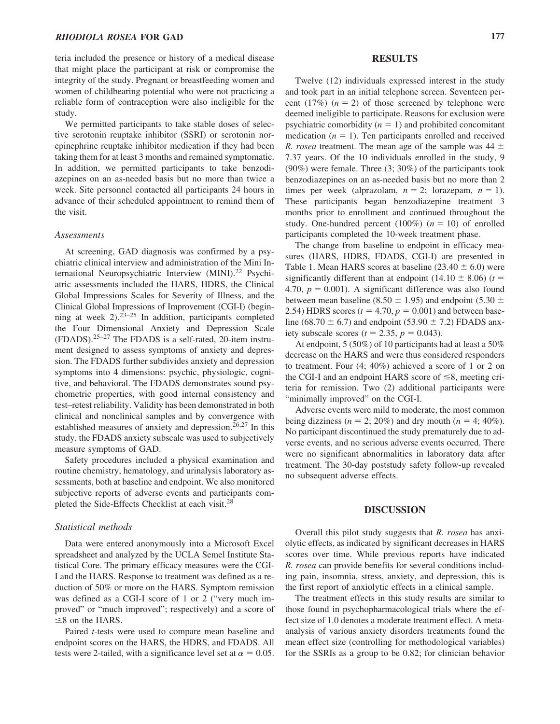# *RHODIOLA ROSEA* **FOR GAD 177**

teria included the presence or history of a medical disease that might place the participant at risk or compromise the integrity of the study. Pregnant or breastfeeding women and women of childbearing potential who were not practicing a reliable form of contraception were also ineligible for the study.

We permitted participants to take stable doses of selective serotonin reuptake inhibitor (SSRI) or serotonin norepinephrine reuptake inhibitor medication if they had been taking them for at least 3 months and remained symptomatic. In addition, we permitted participants to take benzodiazepines on an as-needed basis but no more than twice a week. Site personnel contacted all participants 24 hours in advance of their scheduled appointment to remind them of the visit.

#### *Assessments*

At screening, GAD diagnosis was confirmed by a psychiatric clinical interview and administration of the Mini International Neuropsychiatric Interview (MINI).22 Psychiatric assessments included the HARS, HDRS, the Clinical Global Impressions Scales for Severity of Illness, and the Clinical Global Impressions of Improvement (CGI-I) (beginning at week  $2$ ).<sup>23–25</sup> In addition, participants completed the Four Dimensional Anxiety and Depression Scale  $(FDADS).$ <sup>25–27</sup> The FDADS is a self-rated, 20-item instrument designed to assess symptoms of anxiety and depression. The FDADS further subdivides anxiety and depression symptoms into 4 dimensions: psychic, physiologic, cognitive, and behavioral. The FDADS demonstrates sound psychometric properties, with good internal consistency and test–retest reliability. Validity has been demonstrated in both clinical and nonclinical samples and by convergence with established measures of anxiety and depression.<sup>26,27</sup> In this study, the FDADS anxiety subscale was used to subjectively measure symptoms of GAD.

Safety procedures included a physical examination and routine chemistry, hematology, and urinalysis laboratory assessments, both at baseline and endpoint. We also monitored subjective reports of adverse events and participants completed the Side-Effects Checklist at each visit.28

#### *Statistical methods*

Data were entered anonymously into a Microsoft Excel spreadsheet and analyzed by the UCLA Semel Institute Statistical Core. The primary efficacy measures were the CGI-I and the HARS. Response to treatment was defined as a reduction of 50% or more on the HARS. Symptom remission was defined as a CGI-I score of 1 or 2 ("very much improved" or "much improved"; respectively) and a score of  $\leq$ 8 on the HARS.

Paired *t*-tests were used to compare mean baseline and endpoint scores on the HARS, the HDRS, and FDADS. All tests were 2-tailed, with a significance level set at  $\alpha = 0.05$ .

#### **RESULTS**

Twelve (12) individuals expressed interest in the study and took part in an initial telephone screen. Seventeen percent  $(17%)$   $(n = 2)$  of those screened by telephone were deemed ineligible to participate. Reasons for exclusion were psychiatric comorbidity  $(n = 1)$  and prohibited concomitant medication  $(n = 1)$ . Ten participants enrolled and received *R. rosea* treatment. The mean age of the sample was  $44 \pm$ 7.37 years. Of the 10 individuals enrolled in the study, 9 (90%) were female. Three (3; 30%) of the participants took benzodiazepines on an as-needed basis but no more than 2 times per week (alprazolam,  $n = 2$ ; lorazepam,  $n = 1$ ). These participants began benzodiazepine treatment 3 months prior to enrollment and continued throughout the study. One-hundred percent  $(100%)$   $(n = 10)$  of enrolled participants completed the 10-week treatment phase.

The change from baseline to endpoint in efficacy measures (HARS, HDRS, FDADS, CGI-I) are presented in Table 1. Mean HARS scores at baseline  $(23.40 \pm 6.0)$  were significantly different than at endpoint  $(14.10 \pm 8.06)$  (*t* = 4.70,  $p = 0.001$ ). A significant difference was also found between mean baseline (8.50  $\pm$  1.95) and endpoint (5.30  $\pm$ 2.54) HDRS scores  $(t = 4.70, p = 0.001)$  and between baseline (68.70  $\pm$  6.7) and endpoint (53.90  $\pm$  7.2) FDADS anxiety subscale scores ( $t = 2.35$ ,  $p = 0.043$ ).

At endpoint, 5 (50%) of 10 participants had at least a 50% decrease on the HARS and were thus considered responders to treatment. Four (4; 40%) achieved a score of 1 or 2 on the CGI-I and an endpoint HARS score of  $\leq 8$ , meeting criteria for remission. Two (2) additional participants were "minimally improved" on the CGI-I.

Adverse events were mild to moderate, the most common being dizziness ( $n = 2$ ; 20%) and dry mouth ( $n = 4$ ; 40%). No participant discontinued the study prematurely due to adverse events, and no serious adverse events occurred. There were no significant abnormalities in laboratory data after treatment. The 30-day poststudy safety follow-up revealed no subsequent adverse effects.

#### **DISCUSSION**

Overall this pilot study suggests that *R. rosea* has anxiolytic effects, as indicated by significant decreases in HARS scores over time. While previous reports have indicated *R. rosea* can provide benefits for several conditions including pain, insomnia, stress, anxiety, and depression, this is the first report of anxiolytic effects in a clinical sample.

The treatment effects in this study results are similar to those found in psychopharmacological trials where the effect size of 1.0 denotes a moderate treatment effect. A metaanalysis of various anxiety disorders treatments found the mean effect size (controlling for methodological variables) for the SSRIs as a group to be 0.82; for clinician behavior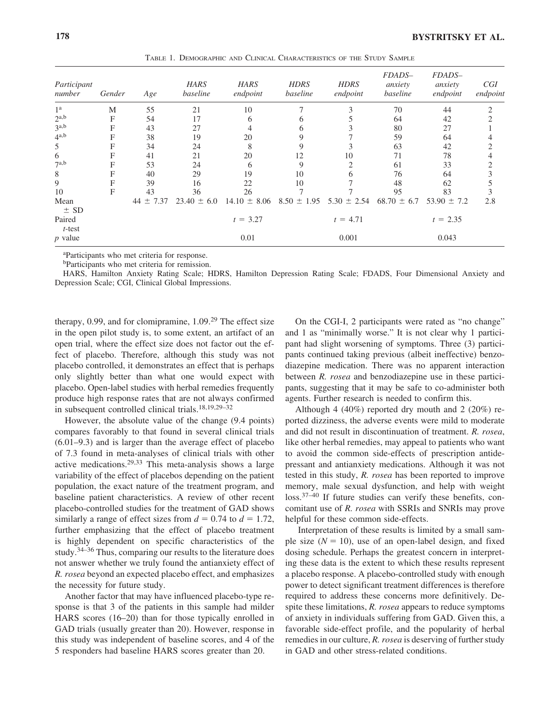| Participant<br>number | Gender | Age              | <b>HARS</b><br>baseline | <b>HARS</b><br>endpoint | <b>HDRS</b><br>baseline | <b>HDRS</b><br>endpoint | FDADS-<br>anxiety<br>baseline | FDADS-<br>anxiety<br>endpoint | CGI<br>endpoint |
|-----------------------|--------|------------------|-------------------------|-------------------------|-------------------------|-------------------------|-------------------------------|-------------------------------|-----------------|
| 1 <sup>a</sup>        | M      | 55               | 21                      | 10                      |                         |                         | 70                            | 44                            |                 |
| $2^{a,b}$             | F      | 54               | 17                      | 6                       |                         |                         | 64                            | 42                            |                 |
| 3 <sup>a,b</sup>      | F      | 43               | 27                      | 4                       |                         |                         | 80                            | 27                            |                 |
| $4^{a,b}$             | F      | 38               | 19                      | 20                      |                         |                         | 59                            | 64                            |                 |
| 5                     | F      | 34               | 24                      | 8                       | 9                       |                         | 63                            | 42                            |                 |
| 6                     | F      | 41               | 21                      | 20                      | 12                      | 10                      | 71                            | 78                            | 4               |
| $7^{a,b}$             | F      | 53               | 24                      | 6                       | 9                       | ↑                       | 61                            | 33                            | 2               |
| 8                     | F      | 40               | 29                      | 19                      | 10                      | h                       | 76                            | 64                            |                 |
| 9                     | F      | 39               | 16                      | 22                      | 10                      |                         | 48                            | 62                            |                 |
| 10                    | F      | 43               | 36                      | 26                      |                         |                         | 95                            | 83                            |                 |
| Mean<br>$\pm$ SD      |        | $\pm 7.37$<br>44 | $23.40 \pm 6.0$         | $14.10 \pm 8.06$        | $8.50 \pm 1.95$         | $5.30 \pm 2.54$         | $68.70 \pm 6.7$               | $53.90 \pm 7.2$               | 2.8             |
| Paired<br>$t$ -test   |        |                  |                         | $t = 3.27$              |                         | $t = 4.71$              |                               | $t = 2.35$                    |                 |
| $p$ value             |        |                  |                         | 0.01                    |                         | 0.001                   |                               | 0.043                         |                 |

TABLE 1. DEMOGRAPHIC AND CLINICAL CHARACTERISTICS OF THE STUDY SAMPLE

a Participants who met criteria for response.

bParticipants who met criteria for remission.

HARS, Hamilton Anxiety Rating Scale; HDRS, Hamilton Depression Rating Scale; FDADS, Four Dimensional Anxiety and Depression Scale; CGI, Clinical Global Impressions.

therapy, 0.99, and for clomipramine, 1.09.<sup>29</sup> The effect size in the open pilot study is, to some extent, an artifact of an open trial, where the effect size does not factor out the effect of placebo. Therefore, although this study was not placebo controlled, it demonstrates an effect that is perhaps only slightly better than what one would expect with placebo. Open-label studies with herbal remedies frequently produce high response rates that are not always confirmed in subsequent controlled clinical trials.18,19,29–32

However, the absolute value of the change (9.4 points) compares favorably to that found in several clinical trials (6.01–9.3) and is larger than the average effect of placebo of 7.3 found in meta-analyses of clinical trials with other active medications.29,33 This meta-analysis shows a large variability of the effect of placebos depending on the patient population, the exact nature of the treatment program, and baseline patient characteristics. A review of other recent placebo-controlled studies for the treatment of GAD shows similarly a range of effect sizes from  $d = 0.74$  to  $d = 1.72$ , further emphasizing that the effect of placebo treatment is highly dependent on specific characteristics of the study.34–36 Thus, comparing our results to the literature does not answer whether we truly found the antianxiety effect of *R. rosea* beyond an expected placebo effect, and emphasizes the necessity for future study.

Another factor that may have influenced placebo-type response is that 3 of the patients in this sample had milder HARS scores (16–20) than for those typically enrolled in GAD trials (usually greater than 20). However, response in this study was independent of baseline scores, and 4 of the 5 responders had baseline HARS scores greater than 20.

On the CGI-I, 2 participants were rated as "no change" and 1 as "minimally worse." It is not clear why 1 participant had slight worsening of symptoms. Three (3) participants continued taking previous (albeit ineffective) benzodiazepine medication. There was no apparent interaction between *R. rosea* and benzodiazepine use in these participants, suggesting that it may be safe to co-administer both agents. Further research is needed to confirm this.

Although 4 (40%) reported dry mouth and 2 (20%) reported dizziness, the adverse events were mild to moderate and did not result in discontinuation of treatment. *R. rosea*, like other herbal remedies, may appeal to patients who want to avoid the common side-effects of prescription antidepressant and antianxiety medications. Although it was not tested in this study, *R. rosea* has been reported to improve memory, male sexual dysfunction, and help with weight loss.37–40 If future studies can verify these benefits, concomitant use of *R. rosea* with SSRIs and SNRIs may prove helpful for these common side-effects.

Interpretation of these results is limited by a small sample size  $(N = 10)$ , use of an open-label design, and fixed dosing schedule. Perhaps the greatest concern in interpreting these data is the extent to which these results represent a placebo response. A placebo-controlled study with enough power to detect significant treatment differences is therefore required to address these concerns more definitively. Despite these limitations, *R. rosea* appears to reduce symptoms of anxiety in individuals suffering from GAD. Given this, a favorable side-effect profile, and the popularity of herbal remedies in our culture, *R. rosea* is deserving of further study in GAD and other stress-related conditions.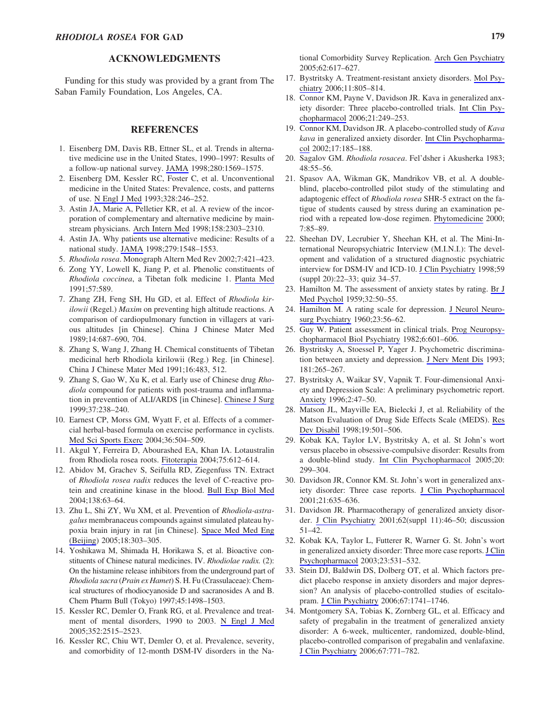### **ACKNOWLEDGMENTS**

Funding for this study was provided by a grant from The Saban Family Foundation, Los Angeles, CA.

#### **REFERENCES**

- 1. Eisenberg DM, Davis RB, Ettner SL, et al. Trends in alternative medicine use in the United States, 1990–1997: Results of a follow-up national survey. [JAMA](http://online.liebertpub.com/action/showLinks?pmid=9820257&crossref=10.1001%2Fjama.280.18.1569) 1998;280:1569–1575.
- 2. Eisenberg DM, Kessler RC, Foster C, et al. Unconventional medicine in the United States: Prevalence, costs, and patterns of use. [N Engl J Med](http://online.liebertpub.com/action/showLinks?pmid=8418405&crossref=10.1056%2FNEJM199301283280406) 1993;328:246–252.
- 3. Astin JA, Marie A, Pelletier KR, et al. A review of the incorporation of complementary and alternative medicine by mainstream physicians. [Arch Intern Med](http://online.liebertpub.com/action/showLinks?pmid=9827781&crossref=10.1001%2Farchinte.158.21.2303) 1998;158:2303–2310.
- 4. Astin JA. Why patients use alternative medicine: Results of a national study. [JAMA](http://online.liebertpub.com/action/showLinks?pmid=9605899&crossref=10.1001%2Fjama.279.19.1548) 1998;279:1548–1553.
- 5. *Rhodiola rosea*. Monograph Altern Med Rev 2002;7:421–423.
- 6. Zong YY, Lowell K, Jiang P, et al. Phenolic constituents of *Rhodiola coccinea*, a Tibetan folk medicine 1. [Planta Med](http://online.liebertpub.com/action/showLinks?pmid=1818351&crossref=10.1055%2Fs-2006-960220) 1991;57:589.
- 7. Zhang ZH, Feng SH, Hu GD, et al. Effect of *Rhodiola kirilowii* (Regel.) *Maxim* on preventing high altitude reactions. A comparison of cardiopulmonary function in villagers at various altitudes [in Chinese]. China J Chinese Mater Med 1989;14:687–690, 704.
- 8. Zhang S, Wang J, Zhang H. Chemical constituents of Tibetan medicinal herb Rhodiola kirilowii (Reg.) Reg. [in Chinese]. China J Chinese Mater Med 1991;16:483, 512.
- 9. Zhang S, Gao W, Xu K, et al. Early use of Chinese drug *Rhodiola* compound for patients with post-trauma and inflammation in prevention of ALI/ARDS [in Chinese]. [Chinese J Surg](http://online.liebertpub.com/action/showLinks?pmid=11829830) 1999;37:238–240.
- 10. Earnest CP, Morss GM, Wyatt F, et al. Effects of a commercial herbal-based formula on exercise performance in cyclists. [Med Sci Sports Exerc](http://online.liebertpub.com/action/showLinks?pmid=15076794&crossref=10.1249%2F01.MSS.0000125157.49280.AF) 2004;36:504–509.
- 11. Akgul Y, Ferreira D, Abourashed EA, Khan IA. Lotaustralin from Rhodiola rosea roots. [Fitoterapia](http://online.liebertpub.com/action/showLinks?pmid=15351122&crossref=10.1016%2Fj.fitote.2004.06.002) 2004;75:612–614.
- 12. Abidov M, Grachev S, Seifulla RD, Ziegenfuss TN. Extract of *Rhodiola rosea radix* reduces the level of C-reactive protein and creatinine kinase in the blood. [Bull Exp Biol Med](http://online.liebertpub.com/action/showLinks?pmid=15514725) 2004;138:63–64.
- 13. Zhu L, Shi ZY, Wu XM, et al. Prevention of *Rhodiola-astragalus* membranaceus compounds against simulated plateau hypoxia brain injury in rat [in Chinese]. [Space Med Med Eng](http://online.liebertpub.com/action/showLinks?pmid=16224855) [\(Beijing](http://online.liebertpub.com/action/showLinks?pmid=16224855)) 2005;18:303–305.
- 14. Yoshikawa M, Shimada H, Horikawa S, et al. Bioactive constituents of Chinese natural medicines. IV. *Rhodiolae radix.* (2): On the histamine release inhibitors from the underground part of *Rhodiola sacra* (*Prain ex Hamet*) S. H. Fu (Crassulaceae): Chemical structures of rhodiocyanoside D and sacranosides A and B. Chem Pharm Bull (Tokyo) 1997;45:1498–1503.
- 15. Kessler RC, Demler O, Frank RG, et al. Prevalence and treatment of mental disorders, 1990 to 2003. [N Engl J Med](http://online.liebertpub.com/action/showLinks?pmid=15958807&crossref=10.1056%2FNEJMsa043266) 2005;352:2515–2523.
- 16. Kessler RC, Chiu WT, Demler O, et al. Prevalence, severity, and comorbidity of 12-month DSM-IV disorders in the Na-

tional Comorbidity Survey Replication. [Arch Gen Psychiatry](http://online.liebertpub.com/action/showLinks?pmid=15939839&crossref=10.1001%2Farchpsyc.62.6.617) 2005;62:617–627.

- 17. Bystritsky A. Treatment-resistant anxiety disorders. [Mol Psy](http://online.liebertpub.com/action/showLinks?pmid=16847460&crossref=10.1038%2Fsj.mp.4001852)[chiatry](http://online.liebertpub.com/action/showLinks?pmid=16847460&crossref=10.1038%2Fsj.mp.4001852) 2006;11:805–814.
- 18. Connor KM, Payne V, Davidson JR. Kava in generalized anxiety disorder: Three placebo-controlled trials. [Int Clin Psy](http://online.liebertpub.com/action/showLinks?pmid=16877894&crossref=10.1097%2F00004850-200609000-00001)[chopharmacol](http://online.liebertpub.com/action/showLinks?pmid=16877894&crossref=10.1097%2F00004850-200609000-00001) 2006;21:249–253.
- 19. Connor KM, Davidson JR. A placebo-controlled study of *Kava kava* in generalized anxiety disorder. [Int Clin Psychopharma](http://online.liebertpub.com/action/showLinks?pmid=12131602&crossref=10.1097%2F00004850-200207000-00005)[col](http://online.liebertpub.com/action/showLinks?pmid=12131602&crossref=10.1097%2F00004850-200207000-00005) 2002;17:185–188.
- 20. Sagalov GM. *Rhodiola rosacea*. Fel'dsher i Akusherka 1983; 48:55–56.
- 21. Spasov AA, Wikman GK, Mandrikov VB, et al. A doubleblind, placebo-controlled pilot study of the stimulating and adaptogenic effect of *Rhodiola rosea* SHR-5 extract on the fatigue of students caused by stress during an examination period with a repeated low-dose regimen. [Phytomedicine](http://online.liebertpub.com/action/showLinks?pmid=10839209) 2000; 7:85–89.
- 22. Sheehan DV, Lecrubier Y, Sheehan KH, et al. The Mini-International Neuropsychiatric Interview (M.I.N.I.): The development and validation of a structured diagnostic psychiatric interview for DSM-IV and ICD-10. [J Clin Psychiatry](http://online.liebertpub.com/action/showLinks?pmid=9881538) 1998;59 (suppl 20):22–33; quiz 34–57.
- 23. Hamilton M. The assessment of anxiety states by rating. [Br J](http://online.liebertpub.com/action/showLinks?pmid=13638508&crossref=10.1111%2Fj.2044-8341.1959.tb00467.x) [Med Psychol](http://online.liebertpub.com/action/showLinks?pmid=13638508&crossref=10.1111%2Fj.2044-8341.1959.tb00467.x) 1959;32:50–55.
- 24. Hamilton M. A rating scale for depression. [J Neurol Neuro](http://online.liebertpub.com/action/showLinks?pmid=14399272&crossref=10.1136%2Fjnnp.23.1.56)[surg Psychiatry](http://online.liebertpub.com/action/showLinks?pmid=14399272&crossref=10.1136%2Fjnnp.23.1.56) 1960;23:56–62.
- 25. Guy W. Patient assessment in clinical trials. [Prog Neuropsy](http://online.liebertpub.com/action/showLinks?pmid=6761766&crossref=10.1016%2FS0278-5846%2882%2980155-3)[chopharmacol Biol Psychiatry](http://online.liebertpub.com/action/showLinks?pmid=6761766&crossref=10.1016%2FS0278-5846%2882%2980155-3) 1982;6:601–606.
- 26. Bystritsky A, Stoessel P, Yager J. Psychometric discrimination between anxiety and depression. [J Nerv Ment Dis](http://online.liebertpub.com/action/showLinks?pmid=8473879&crossref=10.1097%2F00005053-199304000-00010) 1993; 181:265–267.
- 27. Bystritsky A, Waikar SV, Vapnik T. Four-dimensional Anxiety and Depression Scale: A preliminary psychometric report. [Anxiety](http://online.liebertpub.com/action/showLinks?pmid=9160599&crossref=10.1002%2F%28SICI%291522-7154%281996%292%3A1%3C47%3A%3AAID-ANXI7%3E3.0.CO%3B2-A) 1996;2:47–50.
- 28. Matson JL, Mayville EA, Bielecki J, et al. Reliability of the Matson Evaluation of Drug Side Effects Scale (MEDS). [Res](http://online.liebertpub.com/action/showLinks?pmid=9836321&crossref=10.1016%2FS0891-4222%2898%2900021-3) [Dev Disabil](http://online.liebertpub.com/action/showLinks?pmid=9836321&crossref=10.1016%2FS0891-4222%2898%2900021-3) 1998;19:501–506.
- 29. Kobak KA, Taylor LV, Bystritsky A, et al. St John's wort versus placebo in obsessive-compulsive disorder: Results from a double-blind study. [Int Clin Psychopharmacol](http://online.liebertpub.com/action/showLinks?pmid=16192837&crossref=10.1097%2F00004850-200511000-00003) 2005;20: 299–304.
- 30. Davidson JR, Connor KM. St. John's wort in generalized anxiety disorder: Three case reports. [J Clin Psychopharmacol](http://online.liebertpub.com/action/showLinks?pmid=11763024&crossref=10.1097%2F00004714-200112000-00026) 2001;21:635–636.
- 31. Davidson JR. Pharmacotherapy of generalized anxiety disorder. [J Clin Psychiatry](http://online.liebertpub.com/action/showLinks?pmid=11414551) 2001;62(suppl 11):46–50; discussion 51–42.
- 32. Kobak KA, Taylor L, Futterer R, Warner G. St. John's wort in generalized anxiety disorder: Three more case reports. [J Clin](http://online.liebertpub.com/action/showLinks?pmid=14520138&crossref=10.1097%2F01.jcp.0000088921.02635.13) [Psychopharmacol](http://online.liebertpub.com/action/showLinks?pmid=14520138&crossref=10.1097%2F01.jcp.0000088921.02635.13) 2003;23:531–532.
- 33. Stein DJ, Baldwin DS, Dolberg OT, et al. Which factors predict placebo response in anxiety disorders and major depression? An analysis of placebo-controlled studies of escitalopram. [J Clin Psychiatry](http://online.liebertpub.com/action/showLinks?pmid=17196054&crossref=10.4088%2FJCP.v67n1111) 2006;67:1741–1746.
- 34. Montgomery SA, Tobias K, Zornberg GL, et al. Efficacy and safety of pregabalin in the treatment of generalized anxiety disorder: A 6-week, multicenter, randomized, double-blind, placebo-controlled comparison of pregabalin and venlafaxine. [J Clin Psychiatry](http://online.liebertpub.com/action/showLinks?pmid=16841627&crossref=10.4088%2FJCP.v67n0511) 2006;67:771–782.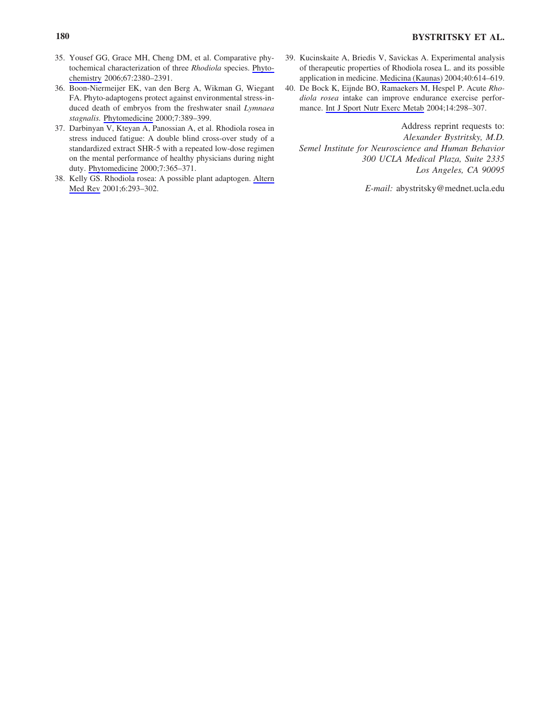- 35. Yousef GG, Grace MH, Cheng DM, et al. Comparative phytochemical characterization of three *Rhodiola* species. [Phyto](http://online.liebertpub.com/action/showLinks?pmid=16956631&crossref=10.1016%2Fj.phytochem.2006.07.026)[chemistry](http://online.liebertpub.com/action/showLinks?pmid=16956631&crossref=10.1016%2Fj.phytochem.2006.07.026) 2006;67:2380–2391.
- 36. Boon-Niermeijer EK, van den Berg A, Wikman G, Wiegant FA. Phyto-adaptogens protect against environmental stress-induced death of embryos from the freshwater snail *Lymnaea stagnalis.* [Phytomedicine](http://online.liebertpub.com/action/showLinks?pmid=11081990) 2000;7:389–399.
- 37. Darbinyan V, Kteyan A, Panossian A, et al. Rhodiola rosea in stress induced fatigue: A double blind cross-over study of a standardized extract SHR-5 with a repeated low-dose regimen on the mental performance of healthy physicians during night duty. [Phytomedicine](http://online.liebertpub.com/action/showLinks?pmid=11081987) 2000;7:365–371.
- 38. Kelly GS. Rhodiola rosea: A possible plant adaptogen. [Altern](http://online.liebertpub.com/action/showLinks?pmid=11410073) [Med Rev](http://online.liebertpub.com/action/showLinks?pmid=11410073) 2001;6:293–302.
- 39. Kucinskaite A, Briedis V, Savickas A. Experimental analysis of therapeutic properties of Rhodiola rosea L. and its possible application in medicine. [Medicina \(Kaunas](http://online.liebertpub.com/action/showLinks?pmid=15252224)) 2004;40:614–619.
- 40. De Bock K, Eijnde BO, Ramaekers M, Hespel P. Acute *Rhodiola rosea* intake can improve endurance exercise performance. [Int J Sport Nutr Exerc Metab](http://online.liebertpub.com/action/showLinks?pmid=15256690) 2004;14:298–307.

Address reprint requests to: *Alexander Bystritsky, M.D. Semel Institute for Neuroscience and Human Behavior 300 UCLA Medical Plaza, Suite 2335 Los Angeles, CA 90095*

*E-mail:* abystritsky@mednet.ucla.edu